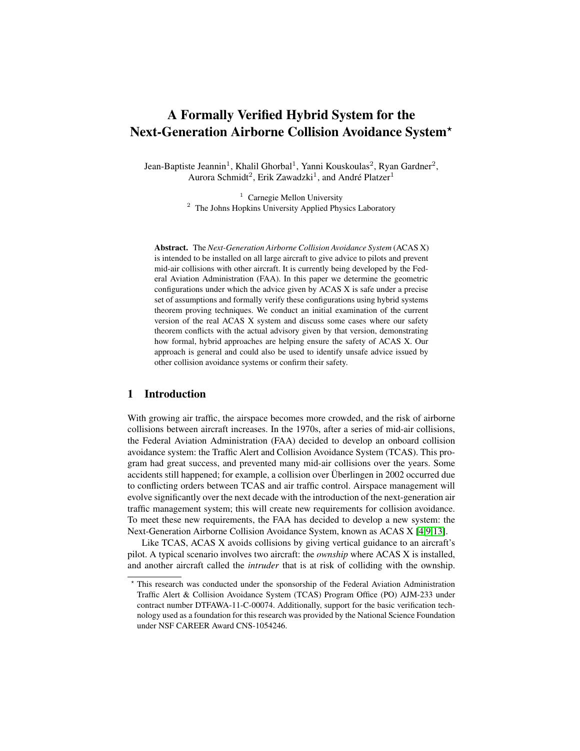# A Formally Verified Hybrid System for the Next-Generation Airborne Collision Avoidance System?

Jean-Baptiste Jeannin<sup>1</sup>, Khalil Ghorbal<sup>1</sup>, Yanni Kouskoulas<sup>2</sup>, Ryan Gardner<sup>2</sup>, Aurora Schmidt<sup>2</sup>, Erik Zawadzki<sup>1</sup>, and André Platzer<sup>1</sup>

> <sup>1</sup> Carnegie Mellon University <sup>2</sup> The Johns Hopkins University Applied Physics Laboratory

Abstract. The *Next-Generation Airborne Collision Avoidance System* (ACAS X) is intended to be installed on all large aircraft to give advice to pilots and prevent mid-air collisions with other aircraft. It is currently being developed by the Federal Aviation Administration (FAA). In this paper we determine the geometric configurations under which the advice given by ACAS X is safe under a precise set of assumptions and formally verify these configurations using hybrid systems theorem proving techniques. We conduct an initial examination of the current version of the real ACAS X system and discuss some cases where our safety theorem conflicts with the actual advisory given by that version, demonstrating how formal, hybrid approaches are helping ensure the safety of ACAS X. Our approach is general and could also be used to identify unsafe advice issued by other collision avoidance systems or confirm their safety.

# 1 Introduction

With growing air traffic, the airspace becomes more crowded, and the risk of airborne collisions between aircraft increases. In the 1970s, after a series of mid-air collisions, the Federal Aviation Administration (FAA) decided to develop an onboard collision avoidance system: the Traffic Alert and Collision Avoidance System (TCAS). This program had great success, and prevented many mid-air collisions over the years. Some accidents still happened; for example, a collision over Uberlingen in 2002 occurred due to conflicting orders between TCAS and air traffic control. Airspace management will evolve significantly over the next decade with the introduction of the next-generation air traffic management system; this will create new requirements for collision avoidance. To meet these new requirements, the FAA has decided to develop a new system: the Next-Generation Airborne Collision Avoidance System, known as ACAS X [\[4](#page-14-0)[,9](#page-14-1)[,13\]](#page-14-2).

Like TCAS, ACAS X avoids collisions by giving vertical guidance to an aircraft's pilot. A typical scenario involves two aircraft: the *ownship* where ACAS X is installed, and another aircraft called the *intruder* that is at risk of colliding with the ownship.

<sup>?</sup> This research was conducted under the sponsorship of the Federal Aviation Administration Traffic Alert & Collision Avoidance System (TCAS) Program Office (PO) AJM-233 under contract number DTFAWA-11-C-00074. Additionally, support for the basic verification technology used as a foundation for this research was provided by the National Science Foundation under NSF CAREER Award CNS-1054246.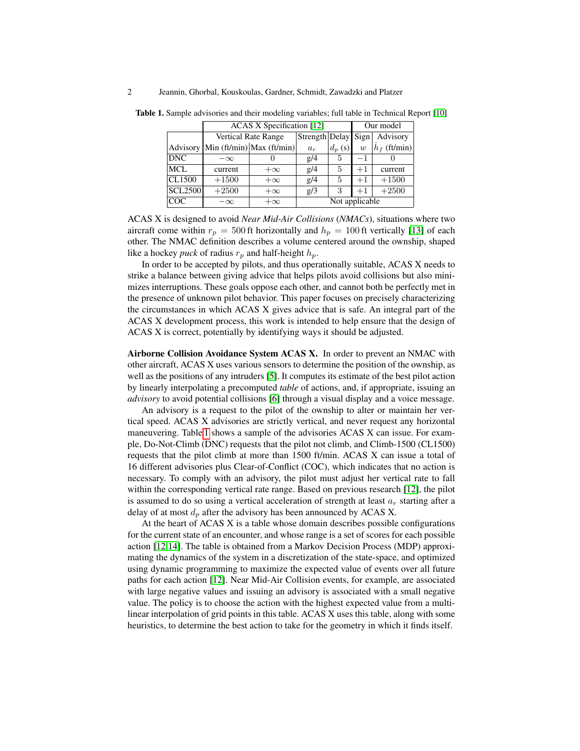<span id="page-1-0"></span>

|                | ACAS X Specification [12] |                                    |                     |          |      | Our model      |  |
|----------------|---------------------------|------------------------------------|---------------------|----------|------|----------------|--|
|                | Vertical Rate Range       |                                    | Strength Delay Sign |          |      | Advisory       |  |
|                |                           | Advisory Min (ft/min) Max (ft/min) | $a_r$               | $d_n(s)$ | w    | $h_f$ (ft/min) |  |
| <b>DNC</b>     | $-\infty$                 |                                    | g/4                 | 5        | $-1$ |                |  |
| MCL            | current                   | $+\infty$                          | g/4                 | 5        | $+1$ | current        |  |
| CL1500         | $+1500$                   | $+\infty$                          | g/4                 | 5        | $+1$ | $+1500$        |  |
| <b>SCL2500</b> | $+2500$                   | $+\infty$                          | g/3                 | 3        | $+1$ | $+2500$        |  |
| COC            | $-\infty$                 | $+\infty$                          | Not applicable      |          |      |                |  |

Table 1. Sample advisories and their modeling variables; full table in Technical Report [\[10\]](#page-14-3)

ACAS X is designed to avoid *Near Mid-Air Collisions* (*NMACs*), situations where two aircraft come within  $r_p = 500$  ft horizontally and  $h_p = 100$  ft vertically [\[13\]](#page-14-2) of each other. The NMAC definition describes a volume centered around the ownship, shaped like a hockey *puck* of radius  $r_p$  and half-height  $h_p$ .

In order to be accepted by pilots, and thus operationally suitable, ACAS X needs to strike a balance between giving advice that helps pilots avoid collisions but also minimizes interruptions. These goals oppose each other, and cannot both be perfectly met in the presence of unknown pilot behavior. This paper focuses on precisely characterizing the circumstances in which ACAS X gives advice that is safe. An integral part of the ACAS X development process, this work is intended to help ensure that the design of ACAS X is correct, potentially by identifying ways it should be adjusted.

Airborne Collision Avoidance System ACAS X. In order to prevent an NMAC with other aircraft, ACAS X uses various sensors to determine the position of the ownship, as well as the positions of any intruders [\[5\]](#page-14-5). It computes its estimate of the best pilot action by linearly interpolating a precomputed *table* of actions, and, if appropriate, issuing an *advisory* to avoid potential collisions [\[6\]](#page-14-6) through a visual display and a voice message.

An advisory is a request to the pilot of the ownship to alter or maintain her vertical speed. ACAS X advisories are strictly vertical, and never request any horizontal maneuvering. Table [1](#page-1-0) shows a sample of the advisories ACAS X can issue. For example, Do-Not-Climb (DNC) requests that the pilot not climb, and Climb-1500 (CL1500) requests that the pilot climb at more than 1500 ft/min. ACAS X can issue a total of 16 different advisories plus Clear-of-Conflict (COC), which indicates that no action is necessary. To comply with an advisory, the pilot must adjust her vertical rate to fall within the corresponding vertical rate range. Based on previous research [\[12\]](#page-14-4), the pilot is assumed to do so using a vertical acceleration of strength at least  $a_r$  starting after a delay of at most  $d<sub>p</sub>$  after the advisory has been announced by ACAS X.

At the heart of ACAS X is a table whose domain describes possible configurations for the current state of an encounter, and whose range is a set of scores for each possible action [\[12](#page-14-4)[,14\]](#page-14-7). The table is obtained from a Markov Decision Process (MDP) approximating the dynamics of the system in a discretization of the state-space, and optimized using dynamic programming to maximize the expected value of events over all future paths for each action [\[12\]](#page-14-4). Near Mid-Air Collision events, for example, are associated with large negative values and issuing an advisory is associated with a small negative value. The policy is to choose the action with the highest expected value from a multilinear interpolation of grid points in this table. ACAS X uses this table, along with some heuristics, to determine the best action to take for the geometry in which it finds itself.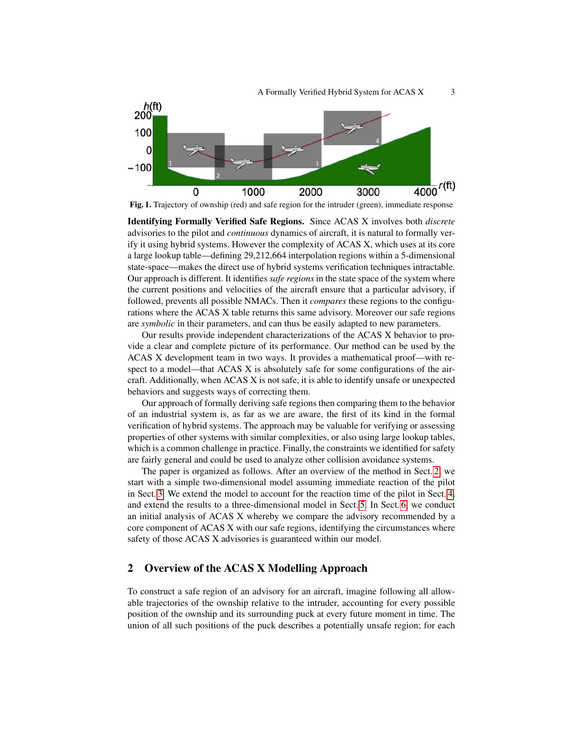

<span id="page-2-1"></span>Fig. 1. Trajectory of ownship (red) and safe region for the intruder (green), immediate response

Identifying Formally Verified Safe Regions. Since ACAS X involves both *discrete* advisories to the pilot and *continuous* dynamics of aircraft, it is natural to formally verify it using hybrid systems. However the complexity of ACAS X, which uses at its core a large lookup table—defining 29,212,664 interpolation regions within a 5-dimensional state-space—makes the direct use of hybrid systems verification techniques intractable. Our approach is different. It identifies *safe regions* in the state space of the system where the current positions and velocities of the aircraft ensure that a particular advisory, if followed, prevents all possible NMACs. Then it *compares* these regions to the configurations where the ACAS X table returns this same advisory. Moreover our safe regions are *symbolic* in their parameters, and can thus be easily adapted to new parameters.

Our results provide independent characterizations of the ACAS X behavior to provide a clear and complete picture of its performance. Our method can be used by the ACAS X development team in two ways. It provides a mathematical proof—with respect to a model—that ACAS X is absolutely safe for some configurations of the aircraft. Additionally, when ACAS X is not safe, it is able to identify unsafe or unexpected behaviors and suggests ways of correcting them.

Our approach of formally deriving safe regions then comparing them to the behavior of an industrial system is, as far as we are aware, the first of its kind in the formal verification of hybrid systems. The approach may be valuable for verifying or assessing properties of other systems with similar complexities, or also using large lookup tables, which is a common challenge in practice. Finally, the constraints we identified for safety are fairly general and could be used to analyze other collision avoidance systems.

The paper is organized as follows. After an overview of the method in Sect. [2,](#page-2-0) we start with a simple two-dimensional model assuming immediate reaction of the pilot in Sect. [3.](#page-4-0) We extend the model to account for the reaction time of the pilot in Sect. [4,](#page-7-0) and extend the results to a three-dimensional model in Sect. [5.](#page-10-0) In Sect. [6,](#page-11-0) we conduct an initial analysis of ACAS X whereby we compare the advisory recommended by a core component of ACAS X with our safe regions, identifying the circumstances where safety of those ACAS X advisories is guaranteed within our model.

# <span id="page-2-0"></span>2 Overview of the ACAS X Modelling Approach

To construct a safe region of an advisory for an aircraft, imagine following all allowable trajectories of the ownship relative to the intruder, accounting for every possible position of the ownship and its surrounding puck at every future moment in time. The union of all such positions of the puck describes a potentially unsafe region; for each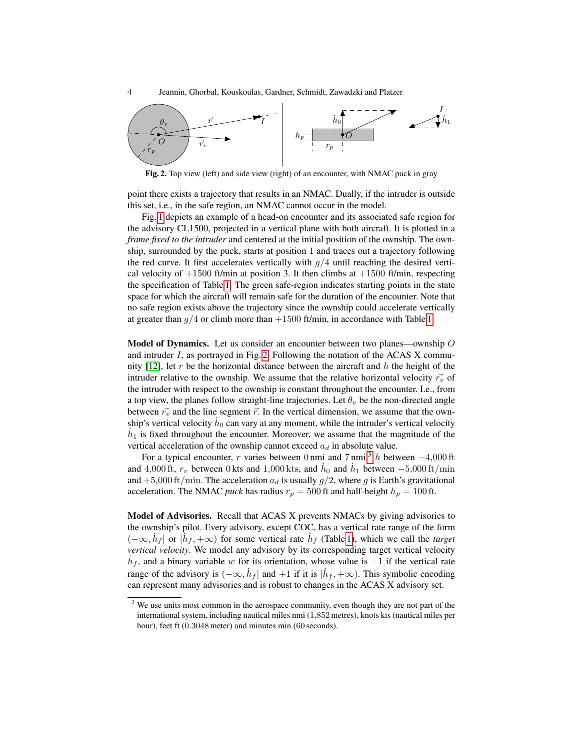

<span id="page-3-0"></span>Fig. 2. Top view (left) and side view (right) of an encounter, with NMAC puck in gray

point there exists a trajectory that results in an NMAC. Dually, if the intruder is outside this set, i.e., in the safe region, an NMAC cannot occur in the model.

the advisory CL1500, projected in a vertical plane with both aircraft. It is plotted in a Fig. [1](#page-2-1) depicts an example of a head-on encounter and its associated safe region for *frame fixed to the intruder* and centered at the initial position of the ownship. The ownship, surrounded by the puck, starts at position 1 and traces out a trajectory following the red curve. It first accelerates vertically with  $q/4$  until reaching the desired vertical velocity of  $+1500$  ft/min at position 3. It then climbs at  $+1500$  ft/min, respecting the specification of Table [1.](#page-1-0) The green safe-region indicates starting points in the state space for which the aircraft will remain safe for the duration of the encounter. Note that no safe region exists above the trajectory since the ownship could accelerate vertically at greater than  $q/4$  or climb more than  $+1500$  ft/min, in accordance with Table [1.](#page-1-0)

<span id="page-3-2"></span>Model of Dynamics. Let us consider an encounter between two planes—ownship O and intruder  $I$ , as portrayed in Fig. [2.](#page-3-0) Following the notation of the ACAS  $X$  community  $[12]$ , let r be the horizontal distance between the aircraft and h the height of the intruder relative to the ownship. We assume that the relative horizontal velocity  $\vec{r}_v$  of the intruder with respect to the ownship is constant throughout the encounter. I.e., from a top view, the planes follow straight-line trajectories. Let  $\theta_v$  be the non-directed angle between  $\vec{r_v}$  and the line segment  $\vec{r}$ . In the vertical dimension, we assume that the ownship's vertical velocity  $\dot{h}_0$  can vary at any moment, while the intruder's vertical velocity  $\dot{h}_1$  is fixed throughout the encounter. Moreover, we assume that the magnitude of the vertical acceleration of the ownship cannot exceed  $a_d$  in absolute value.

For a typical encounter, r varies between 0 nmi and 7 nmi,<sup>[3](#page-3-1)</sup> h between  $-4,000$  ft and 4,000 ft,  $r_v$  between 0 kts and 1,000 kts, and  $\dot{h}_0$  and  $\dot{h}_1$  between  $-5,000$  ft/min and +5,000 ft/min. The acceleration  $a_d$  is usually  $g/2$ , where g is Earth's gravitational acceleration. The NMAC *puck* has radius  $r_p = 500$  ft and half-height  $h_p = 100$  ft.

Model of Advisories. Recall that ACAS X prevents NMACs by giving advisories to the ownship's pilot. Every advisory, except COC, has a vertical rate range of the form  $(-\infty, \dot{h}_f]$  or  $[\dot{h}_f, +\infty)$  for some vertical rate  $\dot{h}_f$  (Table [1\)](#page-1-0), which we call the *target vertical velocity*. We model any advisory by its corresponding target vertical velocity  $h_f$ , and a binary variable w for its orientation, whose value is  $-1$  if the vertical rate range of the advisory is  $(-\infty, \dot{h}_f]$  and  $+1$  if it is  $[\dot{h}_f, +\infty)$ . This symbolic encoding can represent many advisories and is robust to changes in the ACAS X advisory set.

<span id="page-3-1"></span><sup>&</sup>lt;sup>3</sup> We use units most common in the aerospace community, even though they are not part of the international system, including nautical miles nmi (1,852 metres), knots kts (nautical miles per hour), feet ft (0.3048 meter) and minutes min (60 seconds).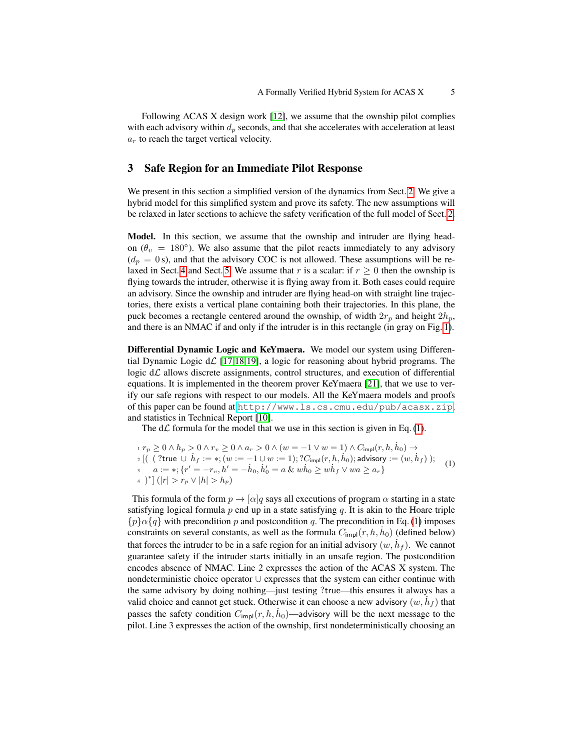Following ACAS X design work [\[12\]](#page-14-4), we assume that the ownship pilot complies with each advisory within  $d_p$  seconds, and that she accelerates with acceleration at least  $a_r$  to reach the target vertical velocity.

### <span id="page-4-0"></span>3 Safe Region for an Immediate Pilot Response

We present in this section a simplified version of the dynamics from Sect. [2.](#page-3-2) We give a hybrid model for this simplified system and prove its safety. The new assumptions will be relaxed in later sections to achieve the safety verification of the full model of Sect. [2.](#page-3-2)

Model. In this section, we assume that the ownship and intruder are flying headon ( $\theta_v = 180^\circ$ ). We also assume that the pilot reacts immediately to any advisory  $(d_p = 0 \text{ s})$ , and that the advisory COC is not allowed. These assumptions will be re-laxed in Sect. [4](#page-7-0) and Sect. [5.](#page-10-0) We assume that r is a scalar: if  $r \geq 0$  then the ownship is flying towards the intruder, otherwise it is flying away from it. Both cases could require an advisory. Since the ownship and intruder are flying head-on with straight line trajectories, there exists a vertical plane containing both their trajectories. In this plane, the puck becomes a rectangle centered around the ownship, of width  $2r_p$  and height  $2h_p$ , and there is an NMAC if and only if the intruder is in this rectangle (in gray on Fig. [1\)](#page-2-1).

Differential Dynamic Logic and KeYmaera. We model our system using Differential Dynamic Logic  $d\mathcal{L}$  [\[17](#page-14-8)[,18](#page-14-9)[,19\]](#page-14-10), a logic for reasoning about hybrid programs. The logic  $d\mathcal{L}$  allows discrete assignments, control structures, and execution of differential equations. It is implemented in the theorem prover KeYmaera [\[21\]](#page-14-11), that we use to verify our safe regions with respect to our models. All the KeYmaera models and proofs of this paper can be found at <http://www.ls.cs.cmu.edu/pub/acasx.zip>, and statistics in Technical Report [\[10\]](#page-14-3).

The  $d\mathcal{L}$  formula for the model that we use in this section is given in Eq. [\(1\)](#page-4-1).

<span id="page-4-1"></span>1  $r_p \ge 0 \wedge h_p > 0 \wedge r_v \ge 0 \wedge a_r > 0 \wedge (w = -1 \vee w = 1) \wedge C_{\text{impl}}(r, h, h_0) \rightarrow$ 2 [(  $($  ?true ∪  $\dot{h}_f := *, (w := -1 \cup w := 1); ?C_{\mathsf{impl}}(r, h, \dot{h}_0);$  advisory :=  $(w, \dot{h}_f)$  ); 3  $a := *, \{r' = -r_v, h' = -\dot{h}_0, \dot{h}'_0 = a \& \, \omega \dot{h}_0 \geq \omega \dot{h}_f \vee \omega a \geq a_r \}$ 4 )<sup>\*</sup>]  $(|r| > r_p \vee |h| > h_p)$ (1)

This formula of the form  $p \to |\alpha|q$  says all executions of program  $\alpha$  starting in a state satisfying logical formula  $p$  end up in a state satisfying  $q$ . It is akin to the Hoare triple  $\{p\}\alpha\{q\}$  with precondition p and postcondition q. The precondition in Eq. [\(1\)](#page-4-1) imposes constraints on several constants, as well as the formula  $C_{\text{impl}}(r, h, h_0)$  (defined below) that forces the intruder to be in a safe region for an initial advisory  $(w, \dot{h}_f)$ . We cannot guarantee safety if the intruder starts initially in an unsafe region. The postcondition encodes absence of NMAC. Line 2 expresses the action of the ACAS X system. The nondeterministic choice operator ∪ expresses that the system can either continue with the same advisory by doing nothing—just testing ?true—this ensures it always has a valid choice and cannot get stuck. Otherwise it can choose a new advisory  $(w, h_f)$  that passes the safety condition  $C_{\text{impl}}(r, h, \dot{h}_0)$ —advisory will be the next message to the pilot. Line 3 expresses the action of the ownship, first nondeterministically choosing an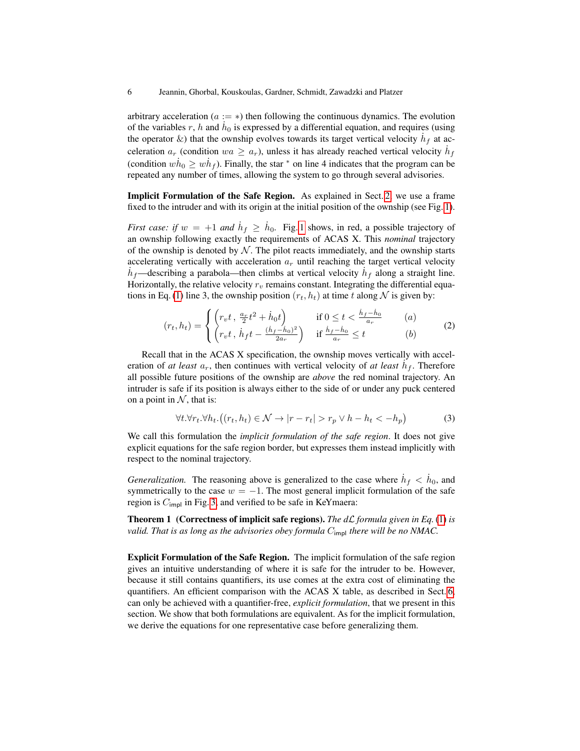arbitrary acceleration ( $a := *$ ) then following the continuous dynamics. The evolution of the variables r, h and  $\dot{h}_0$  is expressed by a differential equation, and requires (using the operator  $\&$ ) that the ownship evolves towards its target vertical velocity  $\dot{h}_f$  at acceleration  $a_r$  (condition  $wa \ge a_r$ ), unless it has already reached vertical velocity  $\dot{h}_f$ (condition  $w\dot{h}_0 \geq w\dot{h}_f$ ). Finally, the star  $^*$  on line 4 indicates that the program can be repeated any number of times, allowing the system to go through several advisories.

<span id="page-5-1"></span>Implicit Formulation of the Safe Region. As explained in Sect. [2,](#page-2-0) we use a frame fixed to the intruder and with its origin at the initial position of the ownship (see Fig. [1\)](#page-2-1).

*First case: if*  $w = +1$  *and*  $h_f \geq h_0$ . Fig. [1](#page-2-1) shows, in red, a possible trajectory of an ownship following exactly the requirements of ACAS X. This *nominal* trajectory of the ownship is denoted by  $N$ . The pilot reacts immediately, and the ownship starts accelerating vertically with acceleration  $a_r$  until reaching the target vertical velocity  $\dot{h}_f$ —describing a parabola—then climbs at vertical velocity  $\dot{h}_f$  along a straight line. Horizontally, the relative velocity  $r_v$  remains constant. Integrating the differential equa-tions in Eq. [\(1\)](#page-4-1) line 3, the ownship position  $(r_t, h_t)$  at time t along N is given by:

<span id="page-5-0"></span>
$$
(r_t, h_t) = \begin{cases} \left( r_v t, \frac{a_r}{2} t^2 + \dot{h}_0 t \right) & \text{if } 0 \le t < \frac{\dot{h}_f - \dot{h}_0}{a_r} \\ \left( r_v t, \dot{h}_f t - \frac{(\dot{h}_f - \dot{h}_0)^2}{2a_r} \right) & \text{if } \frac{\dot{h}_f - \dot{h}_0}{a_r} \le t \end{cases} \tag{2}
$$

Recall that in the ACAS X specification, the ownship moves vertically with acceleration of *at least*  $a_r$ , then continues with vertical velocity of *at least*  $h_f$ . Therefore all possible future positions of the ownship are *above* the red nominal trajectory. An intruder is safe if its position is always either to the side of or under any puck centered on a point in  $N$ , that is:

$$
\forall t. \forall r_t. \forall h_t. ((r_t, h_t) \in \mathcal{N} \to |r - r_t| > r_p \lor h - h_t < -h_p)
$$
(3)

We call this formulation the *implicit formulation of the safe region*. It does not give explicit equations for the safe region border, but expresses them instead implicitly with respect to the nominal trajectory.

*Generalization.* The reasoning above is generalized to the case where  $\dot{h}_f < \dot{h}_0$ , and symmetrically to the case  $w = -1$ . The most general implicit formulation of the safe region is  $C_{\text{impl}}$  in Fig. [3,](#page-6-0) and verified to be safe in KeYmaera:

<span id="page-5-2"></span>Theorem 1 (Correctness of implicit safe regions). *The d*L *formula given in Eq.*[\(1\)](#page-4-1) *is valid. That is as long as the advisories obey formula*  $C_{\text{impl}}$  *there will be no NMAC.* 

Explicit Formulation of the Safe Region. The implicit formulation of the safe region gives an intuitive understanding of where it is safe for the intruder to be. However, because it still contains quantifiers, its use comes at the extra cost of eliminating the quantifiers. An efficient comparison with the ACAS X table, as described in Sect. [6,](#page-11-0) can only be achieved with a quantifier-free, *explicit formulation*, that we present in this section. We show that both formulations are equivalent. As for the implicit formulation, we derive the equations for one representative case before generalizing them.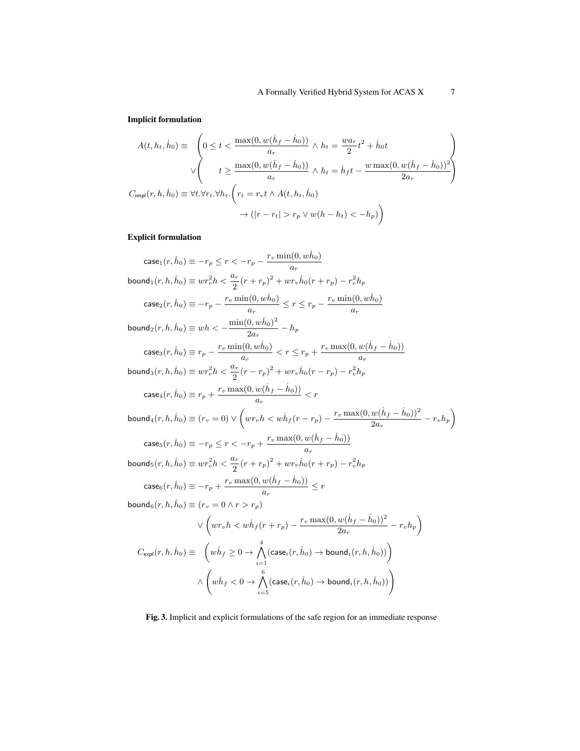Implicit formulation

$$
A(t, h_t, \dot{h}_0) \equiv \begin{pmatrix} 0 \le t < \frac{\max(0, w(\dot{h}_f - \dot{h}_0))}{a_r} \land h_t = \frac{wa_r}{2} t^2 + \dot{h}_0 t \\ v < \end{pmatrix}
$$

$$
\lor \begin{pmatrix} t \ge \frac{\max(0, w(\dot{h}_f - \dot{h}_0))}{a_r} \land h_t = \dot{h}_f t - \frac{w \max(0, w(\dot{h}_f - \dot{h}_0))^2}{2a_r} \end{pmatrix}
$$

$$
C_{\text{impl}}(r, h, \dot{h}_0) \equiv \forall t. \forall r_t. \forall h_t. \left( r_t = r_v t \land A(t, h_t, \dot{h}_0) \right)
$$

$$
\rightarrow (|r - r_t| > r_p \lor w(h - h_t) < -h_p) \end{pmatrix}
$$

### Explicit formulation

$$
\begin{split} &\text{case}_1(r,h_0)\equiv -r_p\leq r< -r_p-\frac{r_v\min(0,wh_0)}{a_r}\\ &\text{bound}_1(r,h,h_0)\equiv wr_v^2h<\frac{a_r}{2}(r+r_p)^2+wr_vh_0(r+r_p)-r_v^2h_p\\ &\text{case}_2(r,h_0)\equiv -r_p-\frac{r_v\min(0,wh_0)}{a_r}\leq r\leq r_p-\frac{r_v\min(0,wh_0)}{a_r}\\ &\text{bound}_2(r,h,h_0)\equiv wh< -\frac{\min(0,wh_0)}{a_r}-h_p\\ &\text{case}_3(r,h_0)\equiv r_p-\frac{r_v\min(0,wh_0)}{a_r}\leq r\leq r_p+\frac{r_v\max(0,w(h_f-h_0))}{a_r}\\ &\text{bound}_3(r,h,h_0)\equiv wr_v^2h<\frac{a_r}{2}(r-r_p)^2+wr_vh_0(r-r_p)-r_v^2h_p\\ &\text{case}_4(r,h_0)\equiv r_p+\frac{r_v\max(0, w(h_f-h_0))}{a_r}< r\\ &\text{bound}_4(r,h,h_0)\equiv (r_v=0)\vee\left(wr_vhr_p)\\ &\vee\left(wr_vh
$$

<span id="page-6-0"></span>Fig. 3. Implicit and explicit formulations of the safe region for an immediate response

 $\big({\sf case}_i(r,\dot{h}_0)\to {\sf bound}_i(r,h,\dot{h}_0)\big)\bigg)$ 

∧

 $\int w\dot{h}_f < 0 \rightarrow \bigwedge^6$ 

 $i=5$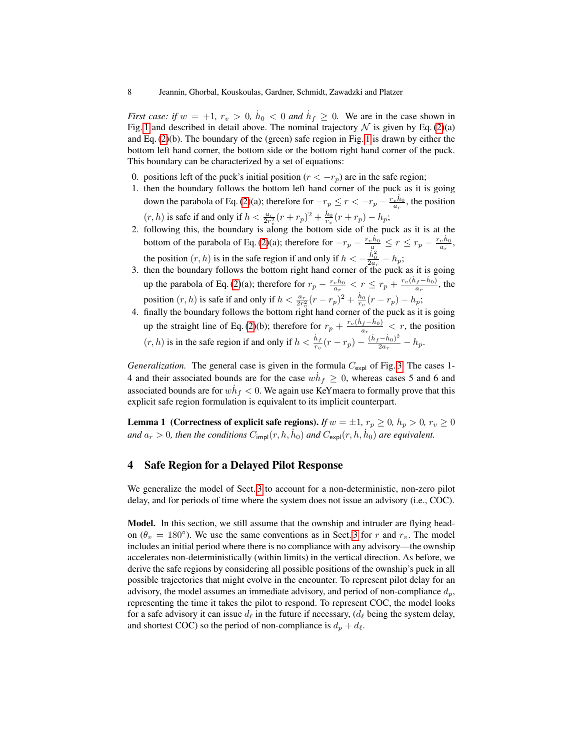*First case: if*  $w = +1$ ,  $r_v > 0$ ,  $\dot{h}_0 < 0$  *and*  $\dot{h}_f \ge 0$ . We are in the case shown in Fig. [1](#page-2-1) and described in detail above. The nominal trajectory  $\mathcal N$  is given by Eq. [\(2\)](#page-5-0)(a) and Eq. [\(2\)](#page-5-0)(b). The boundary of the (green) safe region in Fig. [1](#page-2-1) is drawn by either the bottom left hand corner, the bottom side or the bottom right hand corner of the puck. This boundary can be characterized by a set of equations:

- 0. positions left of the puck's initial position ( $r < -r_p$ ) are in the safe region;
- 1. then the boundary follows the bottom left hand corner of the puck as it is going down the parabola of Eq. [\(2\)](#page-5-0)(a); therefore for  $-r_p \le r < -r_p - \frac{r_v \dot{h}_0}{a_r}$ , the position  $(r, h)$  is safe if and only if  $h < \frac{a_r}{2r_v^2}(r + r_p)^2 + \frac{\dot{h}_0}{r_v}(r + r_p) - h_p$ ;
- 2. following this, the boundary is along the bottom side of the puck as it is at the bottom of the parabola of Eq. [\(2\)](#page-5-0)(a); therefore for  $-r_p - \frac{r_v \dot{h}_0}{a} \le r \le r_p - \frac{r_v \dot{h}_0}{a_r}$ ,  $a_r$ the position  $(r, h)$  is in the safe region if and only if  $h < -\frac{\dot{h}_0^2}{2a_r} - h_p$ ;
- 3. then the boundary follows the bottom right hand corner of the puck as it is going up the parabola of Eq. [\(2\)](#page-5-0)(a); therefore for  $r_p - \frac{r_v \dot{h}_0}{a_r} < r \leq r_p + \frac{r_v (\dot{h}_f - \dot{h}_0)}{a_r}$  $\frac{f^{(n)}-h^{(n)}(r)}{a_r}$ , the position  $(r, h)$  is safe if and only if  $h < \frac{a_r}{2r_v^2}(r - r_p)^2 + \frac{h_0}{r_v}(r - r_p) - h_p$ ;
- 4. finally the boundary follows the bottom right hand corner of the puck as it is going up the straight line of Eq. [\(2\)](#page-5-0)(b); therefore for  $r_p + \frac{r_v(h_f - h_0)}{a_v}$  $\frac{r_f - n_0}{a_r} < r$ , the position  $(r, h)$  is in the safe region if and only if  $h < \frac{h_f}{r_v}(r - r_p) - \frac{(\dot{h}_f - \dot{h}_0)^2}{2 a_r}$  $\frac{(n-1)(n-1)}{2a_r}-h_p.$

*Generalization.* The general case is given in the formula  $C_{\text{expl}}$  of Fig. [3.](#page-6-0) The cases 1-4 and their associated bounds are for the case  $w \dot{h}_f \geq 0$ , whereas cases 5 and 6 and associated bounds are for  $w \dot{h}_f < 0$ . We again use KeYmaera to formally prove that this explicit safe region formulation is equivalent to its implicit counterpart.

**Lemma 1** (Correctness of explicit safe regions). *If*  $w = \pm 1$ ,  $r_p \ge 0$ ,  $h_p > 0$ ,  $r_v \ge 0$ and  $a_r > 0$ , then the conditions  $C_{\text{impl}}(r, h, h_0)$  and  $C_{\text{expl}}(r, h, h_0)$  are equivalent.

## <span id="page-7-0"></span>4 Safe Region for a Delayed Pilot Response

We generalize the model of Sect. [3](#page-4-0) to account for a non-deterministic, non-zero pilot delay, and for periods of time where the system does not issue an advisory (i.e., COC).

Model. In this section, we still assume that the ownship and intruder are flying headon ( $\theta_v = 180^\circ$ ). We use the same conventions as in Sect. [3](#page-4-0) for r and  $r_v$ . The model includes an initial period where there is no compliance with any advisory—the ownship accelerates non-deterministically (within limits) in the vertical direction. As before, we derive the safe regions by considering all possible positions of the ownship's puck in all possible trajectories that might evolve in the encounter. To represent pilot delay for an advisory, the model assumes an immediate advisory, and period of non-compliance  $d_p$ , representing the time it takes the pilot to respond. To represent COC, the model looks for a safe advisory it can issue  $d_\ell$  in the future if necessary, ( $d_\ell$  being the system delay, and shortest COC) so the period of non-compliance is  $d_p + d_\ell$ .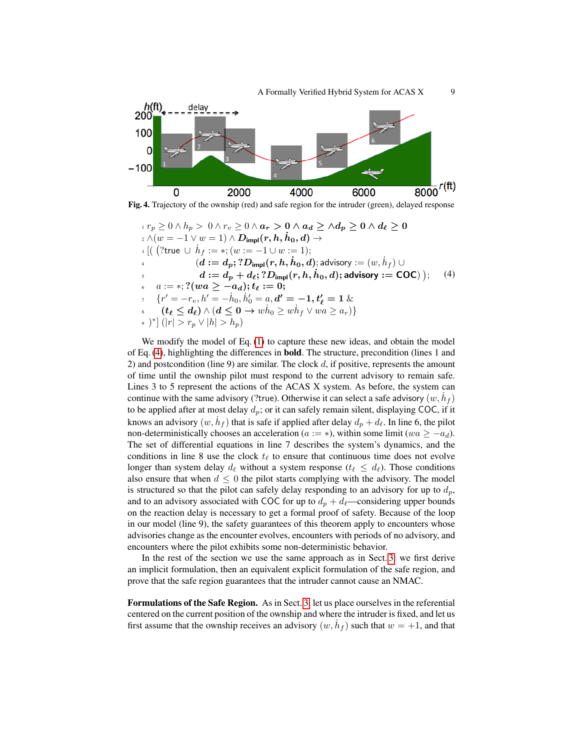

<span id="page-8-1"></span>Fig. 4. Trajectory of the ownship (red) and safe region for the intruder (green), delayed response

<span id="page-8-0"></span>
$$
0 \wedge h_p > 0 \wedge r_v \ge 0 \wedge a_r > 0 \wedge a_d \ge \wedge d_p \ge 0 \wedge d_\ell \ge 0
$$
  
\n
$$
2 \wedge (w = -1 \vee w = 1) \wedge D_{impl}(r, h, h_0, d) \rightarrow
$$
  
\n
$$
3 [( (?true \cup h_f := *; (w := -1 \cup w := 1);
$$
  
\n
$$
4 \qquad (d := d_p; ?D_{impl}(r, h, h_0, d); \text{advisory} := (w, h_f) \cup
$$
  
\n
$$
5 \qquad d := d_p + d_\ell; ?D_{impl}(r, h, h_0, d); \text{advisory} := \text{COC}) );
$$
  
\n
$$
6 \qquad a := *; ?(wa \ge -a_d); t_\ell := 0;
$$
  
\n
$$
7 \qquad \{r' = -r_v, h' = -h_0, h'_0 = a, d' = -1, t'_\ell = 1 \&
$$
  
\n
$$
8 \qquad (t_\ell \le d_\ell) \wedge (d \le 0 \rightarrow wh_0 \ge wh_f \vee wa \ge a_r) \}
$$
  
\n
$$
9)^* [(|r| > r_p \vee |h| > h_p)
$$

We modify the model of Eq. [\(1\)](#page-4-1) to capture these new ideas, and obtain the model of Eq. [\(4\)](#page-8-0), highlighting the differences in bold. The structure, precondition (lines 1 and 2) and postcondition (line 9) are similar. The clock  $d$ , if positive, represents the amount of time until the ownship pilot must respond to the current advisory to remain safe. Lines 3 to 5 represent the actions of the ACAS X system. As before, the system can continue with the same advisory (?true). Otherwise it can select a safe advisory  $(w, \dot{h}_f)$ to be applied after at most delay  $d_p$ ; or it can safely remain silent, displaying COC, if it knows an advisory  $(w, \dot{h}_f)$  that is safe if applied after delay  $d_p + d_\ell$ . In line 6, the pilot non-deterministically chooses an acceleration ( $a := *$ ), within some limit ( $wa \ge -a_d$ ). The set of differential equations in line 7 describes the system's dynamics, and the conditions in line 8 use the clock  $t_\ell$  to ensure that continuous time does not evolve longer than system delay  $d_{\ell}$  without a system response ( $t_{\ell} \leq d_{\ell}$ ). Those conditions also ensure that when  $d \leq 0$  the pilot starts complying with the advisory. The model is structured so that the pilot can safely delay responding to an advisory for up to  $d_p$ , and to an advisory associated with COC for up to  $d_p + d_\ell$ —considering upper bounds on the reaction delay is necessary to get a formal proof of safety. Because of the loop in our model (line 9), the safety guarantees of this theorem apply to encounters whose advisories change as the encounter evolves, encounters with periods of no advisory, and encounters where the pilot exhibits some non-deterministic behavior.

In the rest of the section we use the same approach as in Sect. [3:](#page-4-0) we first derive an implicit formulation, then an equivalent explicit formulation of the safe region, and prove that the safe region guarantees that the intruder cannot cause an NMAC.

Formulations of the Safe Region. As in Sect. [3,](#page-5-1) let us place ourselves in the referential centered on the current position of the ownship and where the intruder is fixed, and let us first assume that the ownship receives an advisory  $(w, \dot{h}_f)$  such that  $w = +1$ , and that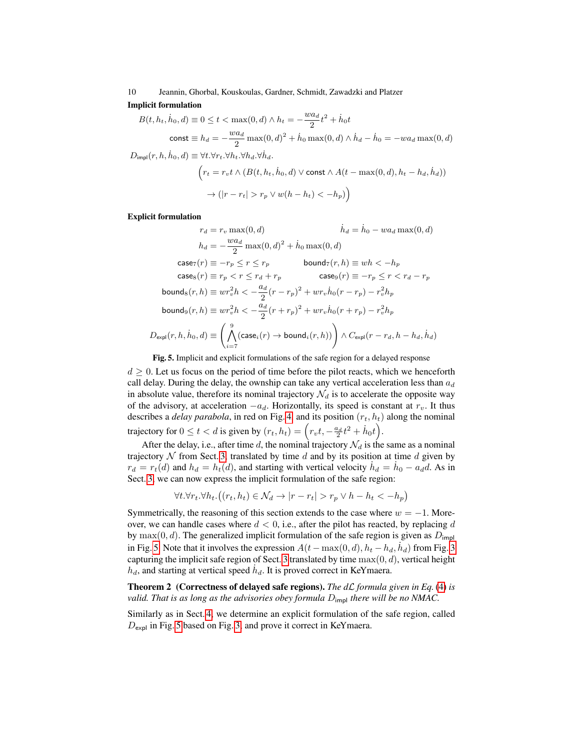#### 10 Jeannin, Ghorbal, Kouskoulas, Gardner, Schmidt, Zawadzki and Platzer

#### Implicit formulation

 $B(t, h_t, \dot{h}_0, d) \equiv 0 \le t < \max(0, d) \wedge h_t = -\frac{w a_d}{2}$  $\frac{d^2a}{2}t^2 + \dot{h}_0t$ const  $\equiv h_d = -\frac{w a_d}{2}$  $\frac{a_d}{2} \max(0, d)^2 + h_0 \max(0, d) \wedge h_d - h_0 = -w a_d \max(0, d)$  $D_{\text{impl}}(r, h, \dot{h}_0, d) \equiv \forall t. \forall r_t. \forall h_t. \forall h_d. \forall \dot{h}_d.$  $(r_t = r_v t \wedge (B(t, h_t, h_0, d) \vee \text{const} \wedge A(t - \max(0, d), h_t - h_d, h_d))$  $\rightarrow (|r-r_t| > r_p \vee w(h-h_t) < -h_p)$ 

#### Explicit formulation

$$
r_d = r_v \max(0, d) \qquad \qquad \dot{h}_d = \dot{h}_0 - wa_d \max(0, d)
$$

$$
h_d = -\frac{wa_d}{2} \max(0, d)^2 + \dot{h}_0 \max(0, d)
$$

$$
\text{case}_7(r) \equiv -r_p \le r \le r_p \qquad \text{bound}_7(r, h) \equiv wh < -h_p
$$

$$
\text{case}_8(r) \equiv r_p < r \le r_d + r_p \qquad \text{case}_9(r) \equiv -r_p \le r < r_d - r_p
$$

$$
\text{bound}_8(r, h) \equiv wr_v^2h < -\frac{a_d}{2}(r - r_p)^2 + wr_v\dot{h}_0(r - r_p) - r_v^2h_p
$$

$$
\text{bound}_9(r, h) \equiv wr_v^2h < -\frac{a_d}{2}(r + r_p)^2 + wr_v\dot{h}_0(r + r_p) - r_v^2h_p
$$

$$
D_{\text{expl}}(r, h, \dot{h}_0, d) \equiv \left(\bigwedge_{i=7}^9 (\text{case}_i(r) \to \text{bound}_i(r, h))\right) \wedge C_{\text{expl}}(r - r_d, h - h_d, \dot{h}_d)
$$

<span id="page-9-0"></span>Fig. 5. Implicit and explicit formulations of the safe region for a delayed response

 $d \geq 0$ . Let us focus on the period of time before the pilot reacts, which we henceforth call delay. During the delay, the ownship can take any vertical acceleration less than  $a_d$ in absolute value, therefore its nominal trajectory  $\mathcal{N}_d$  is to accelerate the opposite way of the advisory, at acceleration  $-a_d$ . Horizontally, its speed is constant at  $r_v$ . It thus describes a *delay parabola*, in red on Fig. [4,](#page-8-1) and its position  $(r_t, h_t)$  along the nominal trajectory for  $0 \le t < d$  is given by  $(r_t, h_t) = (r_v t, -\frac{a_d}{2}t^2 + \dot{h}_0 t)$ .

After the delay, i.e., after time d, the nominal trajectory  $\mathcal{N}_d$  is the same as a nominal trajectory  $N$  from Sect. [3,](#page-4-0) translated by time  $d$  and by its position at time  $d$  given by  $r_d = r_t(d)$  and  $h_d = h_t(d)$ , and starting with vertical velocity  $\dot{h}_d = \dot{h}_0 - a_d d$ . As in Sect. [3,](#page-5-1) we can now express the implicit formulation of the safe region:

$$
\forall t. \forall r_t. \forall h_t. ((r_t, h_t) \in \mathcal{N}_d \rightarrow |r - r_t| > r_p \lor h - h_t < -h_p)
$$

Symmetrically, the reasoning of this section extends to the case where  $w = -1$ . Moreover, we can handle cases where  $d < 0$ , i.e., after the pilot has reacted, by replacing d by  $\max(0, d)$ . The generalized implicit formulation of the safe region is given as  $D_{\text{impl}}$ in Fig. [5.](#page-9-0) Note that it involves the expression  $A(t - \max(0, d), h_t - h_d, \dot{h}_d)$  from Fig. [3](#page-6-0) capturing the implicit safe region of Sect. [3](#page-5-1) translated by time  $\max(0, d)$ , vertical height  $h_d$ , and starting at vertical speed  $\dot{h}_d$ . It is proved correct in KeYmaera.

Theorem 2 (Correctness of delayed safe regions). *The d*L *formula given in Eq.* [\(4\)](#page-8-0) *is valid. That is as long as the advisories obey formula*  $D_{\text{impl}}$  *there will be no NMAC.* 

Similarly as in Sect. [4,](#page-7-0) we determine an explicit formulation of the safe region, called  $D_{\text{expl}}$  in Fig. [5](#page-9-0) based on Fig. [3,](#page-6-0) and prove it correct in KeYmaera.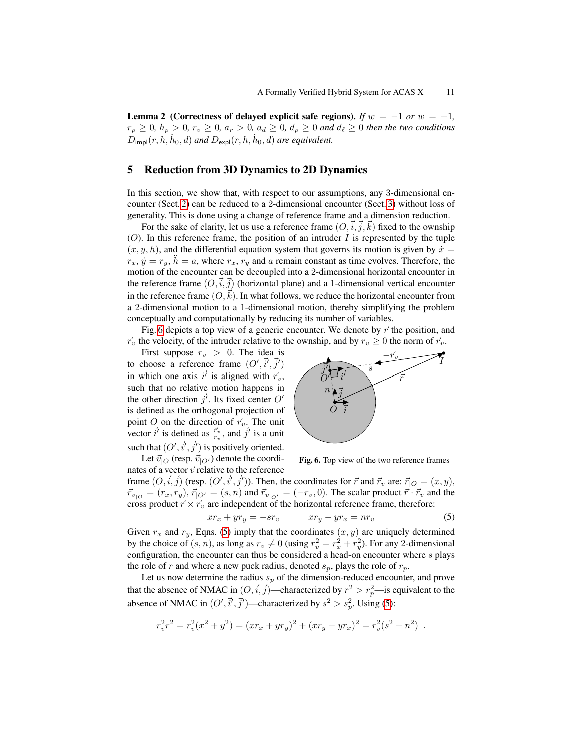**Lemma 2** (Correctness of delayed explicit safe regions). *If*  $w = -1$  *or*  $w = +1$ ,  $r_p \geq 0$ ,  $h_p > 0$ ,  $r_v \geq 0$ ,  $a_r > 0$ ,  $a_d \geq 0$ ,  $d_p \geq 0$  and  $d_\ell \geq 0$  then the two conditions  $\overline{D}_{\text{impl}}(r, h, h_0, d)$  and  $\overline{D}_{\text{expl}}(r, h, h_0, d)$  are equivalent.

### <span id="page-10-0"></span>5 Reduction from 3D Dynamics to 2D Dynamics

In this section, we show that, with respect to our assumptions, any 3-dimensional encounter (Sect. [2\)](#page-2-0) can be reduced to a 2-dimensional encounter (Sect. [3\)](#page-4-0) without loss of generality. This is done using a change of reference frame and a dimension reduction.

For the sake of clarity, let us use a reference frame  $(0, \vec{i}, \vec{j}, \vec{k})$  fixed to the ownship  $(O)$ . In this reference frame, the position of an intruder I is represented by the tuple  $(x, y, h)$ , and the differential equation system that governs its motion is given by  $\dot{x} =$  $r_x, \dot{y} = r_y, h = a$ , where  $r_x, r_y$  and a remain constant as time evolves. Therefore, the motion of the encounter can be decoupled into a 2-dimensional horizontal encounter in the reference frame  $(O, \vec{i}, \vec{j})$  (horizontal plane) and a 1-dimensional vertical encounter in the reference frame  $(O,\vec{k})$ . In what follows, we reduce the horizontal encounter from a 2-dimensional motion to a 1-dimensional motion, thereby simplifying the problem conceptually and computationally by reducing its number of variables.

Fig. [6](#page-10-1) depicts a top view of a generic encounter. We denote by  $\vec{r}$  the position, and  $\vec{r}_v$  the velocity, of the intruder relative to the ownship, and by  $r_v \ge 0$  the norm of  $\vec{r}_v$ .

First suppose  $r_v > 0$ . The idea is to choose a reference frame  $(O', \vec{i}', \vec{j}')$ in which one axis  $\vec{i'}$  is aligned with  $\vec{r}_v$ , such that no relative motion happens in the other direction  $\vec{j'}$ . Its fixed center O' is defined as the orthogonal projection of point O on the direction of  $\vec{r}_v$ . The unit vector  $\vec{i}'$  is defined as  $\frac{\vec{r}_v}{r_v}$ , and  $\vec{j}'$  is a unit such that  $(O', \vec{i}', \vec{j}')$  is positively oriented.

Let  $\vec{v}_{|O}$  (resp.  $\vec{v}_{|O'}$ ) denote the coordinates of a vector  $\vec{v}$  relative to the reference



<span id="page-10-1"></span>Fig. 6. Top view of the two reference frames

frame  $(0, \vec{i}, \vec{j})$  (resp.  $(0', \vec{i}', \vec{j}')$ ). Then, the coordinates for  $\vec{r}$  and  $\vec{r}_v$  are:  $\vec{r}_{|O} = (x, y)$ ,  $\vec{r}_{v_{|O}} = (r_x, r_y), \vec{r}_{|O'} = (s, n)$  and  $\vec{r}_{v_{|O'}} = (-r_v, 0)$ . The scalar product  $\vec{r} \cdot \vec{r}_v$  and the cross product  $\vec{r} \times \vec{r_v}$  are independent of the horizontal reference frame, therefore:

<span id="page-10-2"></span>
$$
xr_x + yr_y = -sr_v \qquad xr_y - yr_x = nr_v \tag{5}
$$

Given  $r_x$  and  $r_y$ , Eqns. [\(5\)](#page-10-2) imply that the coordinates  $(x, y)$  are uniquely determined by the choice of  $(s, n)$ , as long as  $r_v \neq 0$  (using  $r_v^2 = r_x^2 + r_y^2$ ). For any 2-dimensional configuration, the encounter can thus be considered a head-on encounter where s plays the role of r and where a new puck radius, denoted  $s_p$ , plays the role of  $r_p$ .

Let us now determine the radius  $s_p$  of the dimension-reduced encounter, and prove that the absence of NMAC in  $(0, \vec{i}, \vec{j})$ —characterized by  $r^2 > r_p^2$ —is equivalent to the absence of NMAC in  $(O', \vec{i}', \vec{j}')$ —characterized by  $s^2 > s_p^2$ . Using [\(5\)](#page-10-2):

$$
r_v^2 r^2 = r_v^2 (x^2 + y^2) = (x r_x + y r_y)^2 + (x r_y - y r_x)^2 = r_v^2 (s^2 + n^2) .
$$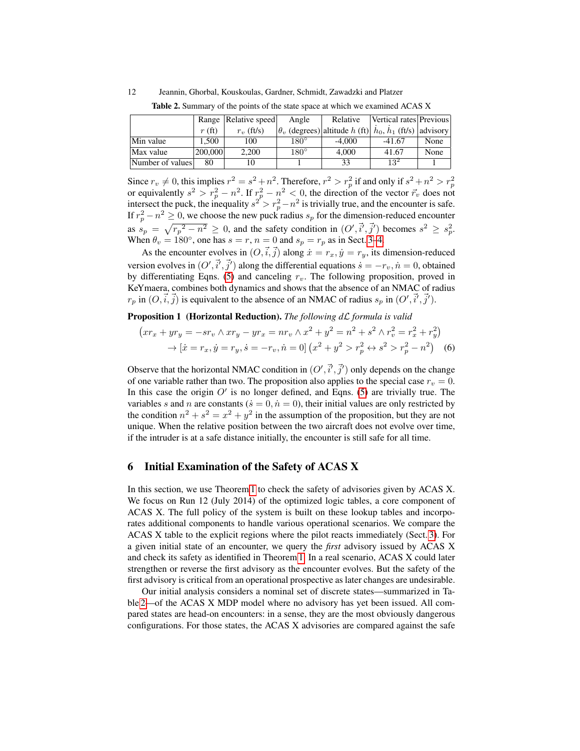12 Jeannin, Ghorbal, Kouskoulas, Gardner, Schmidt, Zawadzki and Platzer

|                  |         | Range Relative speed | Angle       | Relative                                                          | Vertical rates Previous |      |
|------------------|---------|----------------------|-------------|-------------------------------------------------------------------|-------------------------|------|
|                  | r(ft)   | $r_v$ (ft/s)         |             | $ \theta_n$ (degrees) altitude h (ft) $ h_0, h_1$ (ft/s) advisory |                         |      |
| Min value        | 1.500   | 100                  | $180^\circ$ | $-4.000$                                                          | $-41.67$                | None |
| Max value        | 200,000 | 2.200                | $180^\circ$ | 4.000                                                             | 41.67                   | None |
| Number of values | 80      | 10                   |             | 33                                                                | 13 <sup>2</sup>         |      |

<span id="page-11-1"></span>Table 2. Summary of the points of the state space at which we examined ACAS X

Since  $r_v \neq 0$ , this implies  $r^2 = s^2 + n^2$ . Therefore,  $r^2 > r_p^2$  if and only if  $s^2 + n^2 > r_p^2$  or equivalently  $s^2 > r_p^2 - n^2$ . If  $r_p^2 - n^2 < 0$ , the direction of the vector  $\vec{r}_v$  does not intersect the puck, the inequality  $s^2 > r_p^2 - n^2$  is trivially true, and the encounter is safe. If  $r_p^2 - n^2 \ge 0$ , we choose the new puck radius  $s_p$  for the dimension-reduced encounter as  $s_p = \sqrt{r_p^2 - n^2} \ge 0$ , and the safety condition in  $(O', \vec{i}', \vec{j}')$  becomes  $s^2 \ge s_p^2$ . When  $\theta_v = 180^\circ$ , one has  $s = r$ ,  $n = 0$  and  $s_p = r_p$  as in Sect. [3–](#page-4-0)[4.](#page-7-0)

As the encounter evolves in  $(O,i,j)$  along  $\dot{x} = r_x, \dot{y} = r_y$ , its dimension-reduced version evolves in  $(O', \vec{i}', \vec{j}')$  along the differential equations  $\dot{s} = -r_v, \dot{n} = 0$ , obtained by differentiating Eqns. [\(5\)](#page-10-2) and canceling  $r_v$ . The following proposition, proved in KeYmaera, combines both dynamics and shows that the absence of an NMAC of radius  $r_p$  in  $(O, \vec{i}, \vec{j})$  is equivalent to the absence of an NMAC of radius  $s_p$  in  $(O', \vec{i}', \vec{j}')$ .

Proposition 1 (Horizontal Reduction). *The following d*L *formula is valid*

$$
xr_x + yr_y = -sr_v \wedge xr_y - yr_x = nr_v \wedge x^2 + y^2 = n^2 + s^2 \wedge r_v^2 = r_x^2 + r_y^2)
$$
  
\n
$$
\rightarrow [\dot{x} = r_x, \dot{y} = r_y, \dot{s} = -r_v, \dot{n} = 0] (x^2 + y^2 > r_p^2 \leftrightarrow s^2 > r_p^2 - n^2)
$$
 (6)

Observe that the horizontal NMAC condition in  $(O', \vec{i}', \vec{j}')$  only depends on the change of one variable rather than two. The proposition also applies to the special case  $r_v = 0$ . In this case the origin  $O'$  is no longer defined, and Eqns. [\(5\)](#page-10-2) are trivially true. The variables s and n are constants ( $\dot{s} = 0, \dot{n} = 0$ ), their initial values are only restricted by the condition  $n^2 + s^2 = x^2 + y^2$  in the assumption of the proposition, but they are not unique. When the relative position between the two aircraft does not evolve over time, if the intruder is at a safe distance initially, the encounter is still safe for all time.

## <span id="page-11-0"></span>6 Initial Examination of the Safety of ACAS X

 $\left($ 

In this section, we use Theorem [1](#page-5-2) to check the safety of advisories given by ACAS X. We focus on Run 12 (July 2014) of the optimized logic tables, a core component of ACAS X. The full policy of the system is built on these lookup tables and incorporates additional components to handle various operational scenarios. We compare the ACAS X table to the explicit regions where the pilot reacts immediately (Sect. [3\)](#page-4-0). For a given initial state of an encounter, we query the *first* advisory issued by ACAS X and check its safety as identified in Theorem [1.](#page-5-2) In a real scenario, ACAS X could later strengthen or reverse the first advisory as the encounter evolves. But the safety of the first advisory is critical from an operational prospective as later changes are undesirable.

Our initial analysis considers a nominal set of discrete states—summarized in Table [2—](#page-11-1)of the ACAS X MDP model where no advisory has yet been issued. All compared states are head-on encounters: in a sense, they are the most obviously dangerous configurations. For those states, the ACAS X advisories are compared against the safe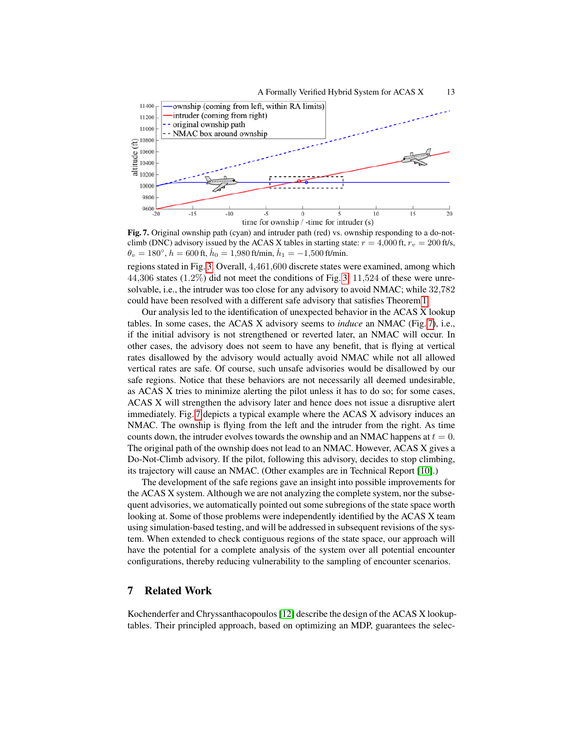

<span id="page-12-0"></span>Fig. 7. Original ownship path (cyan) and intruder path (red) vs. ownship responding to a do-notclimb (DNC) advisory issued by the ACAS X tables in starting state:  $r = 4,000$  ft,  $r_v = 200$  ft/s,  $\theta_v = 180^\circ$ ,  $h = 600$  ft,  $\dot{h}_0 = 1,980$  ft/min,  $\dot{h}_1 = -1,500$  ft/min.

regions stated in Fig. [3.](#page-6-0) Overall, 4,461,600 discrete states were examined, among which 44,306 states (1.2%) did not meet the conditions of Fig. [3:](#page-6-0) 11,524 of these were unresolvable, i.e., the intruder was too close for any advisory to avoid NMAC; while 32,782 could have been resolved with a different safe advisory that satisfies Theorem [1.](#page-5-2)

Our analysis led to the identification of unexpected behavior in the ACAS X lookup tables. In some cases, the ACAS X advisory seems to *induce* an NMAC (Fig. [7\)](#page-12-0), i.e., if the initial advisory is not strengthened or reverted later, an NMAC will occur. In other cases, the advisory does not seem to have any benefit, that is flying at vertical rates disallowed by the advisory would actually avoid NMAC while not all allowed vertical rates are safe. Of course, such unsafe advisories would be disallowed by our safe regions. Notice that these behaviors are not necessarily all deemed undesirable, as ACAS X tries to minimize alerting the pilot unless it has to do so; for some cases, ACAS X will strengthen the advisory later and hence does not issue a disruptive alert immediately. Fig. [7](#page-12-0) depicts a typical example where the ACAS X advisory induces an NMAC. The ownship is flying from the left and the intruder from the right. As time counts down, the intruder evolves towards the ownship and an NMAC happens at  $t = 0$ . The original path of the ownship does not lead to an NMAC. However, ACAS X gives a Do-Not-Climb advisory. If the pilot, following this advisory, decides to stop climbing, its trajectory will cause an NMAC. (Other examples are in Technical Report [\[10\]](#page-14-3).)

The development of the safe regions gave an insight into possible improvements for the ACAS X system. Although we are not analyzing the complete system, nor the subsequent advisories, we automatically pointed out some subregions of the state space worth looking at. Some of those problems were independently identified by the ACAS X team using simulation-based testing, and will be addressed in subsequent revisions of the system. When extended to check contiguous regions of the state space, our approach will have the potential for a complete analysis of the system over all potential encounter configurations, thereby reducing vulnerability to the sampling of encounter scenarios.

# 7 Related Work

Kochenderfer and Chryssanthacopoulos [\[12\]](#page-14-4) describe the design of the ACAS X lookuptables. Their principled approach, based on optimizing an MDP, guarantees the selec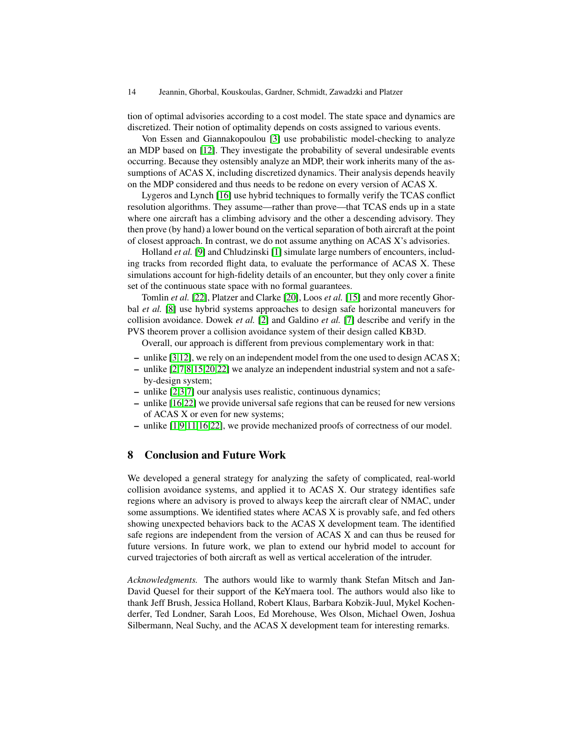14 Jeannin, Ghorbal, Kouskoulas, Gardner, Schmidt, Zawadzki and Platzer

tion of optimal advisories according to a cost model. The state space and dynamics are discretized. Their notion of optimality depends on costs assigned to various events.

Von Essen and Giannakopoulou [\[3\]](#page-14-12) use probabilistic model-checking to analyze an MDP based on [\[12\]](#page-14-4). They investigate the probability of several undesirable events occurring. Because they ostensibly analyze an MDP, their work inherits many of the assumptions of ACAS X, including discretized dynamics. Their analysis depends heavily on the MDP considered and thus needs to be redone on every version of ACAS X.

Lygeros and Lynch [\[16\]](#page-14-13) use hybrid techniques to formally verify the TCAS conflict resolution algorithms. They assume—rather than prove—that TCAS ends up in a state where one aircraft has a climbing advisory and the other a descending advisory. They then prove (by hand) a lower bound on the vertical separation of both aircraft at the point of closest approach. In contrast, we do not assume anything on ACAS X's advisories.

Holland *et al.* [\[9\]](#page-14-1) and Chludzinski [\[1\]](#page-14-14) simulate large numbers of encounters, including tracks from recorded flight data, to evaluate the performance of ACAS X. These simulations account for high-fidelity details of an encounter, but they only cover a finite set of the continuous state space with no formal guarantees.

Tomlin *et al.* [\[22\]](#page-14-15), Platzer and Clarke [\[20\]](#page-14-16), Loos *et al.* [\[15\]](#page-14-17) and more recently Ghorbal *et al.* [\[8\]](#page-14-18) use hybrid systems approaches to design safe horizontal maneuvers for collision avoidance. Dowek *et al.* [\[2\]](#page-14-19) and Galdino *et al.* [\[7\]](#page-14-20) describe and verify in the PVS theorem prover a collision avoidance system of their design called KB3D.

Overall, our approach is different from previous complementary work in that:

- unlike [\[3,](#page-14-12)[12\]](#page-14-4), we rely on an independent model from the one used to design ACAS X;
- unlike [\[2](#page-14-19)[,7](#page-14-20)[,8](#page-14-18)[,15](#page-14-17)[,20](#page-14-16)[,22\]](#page-14-15) we analyze an independent industrial system and not a safeby-design system;
- unlike [\[2](#page-14-19)[,3,](#page-14-12)[7\]](#page-14-20) our analysis uses realistic, continuous dynamics;
- unlike [\[16](#page-14-13)[,22\]](#page-14-15) we provide universal safe regions that can be reused for new versions of ACAS X or even for new systems;
- unlike [\[1](#page-14-14)[,9](#page-14-1)[,11,](#page-14-21)[16,](#page-14-13)[22\]](#page-14-15), we provide mechanized proofs of correctness of our model.

### 8 Conclusion and Future Work

We developed a general strategy for analyzing the safety of complicated, real-world collision avoidance systems, and applied it to ACAS X. Our strategy identifies safe regions where an advisory is proved to always keep the aircraft clear of NMAC, under some assumptions. We identified states where ACAS X is provably safe, and fed others showing unexpected behaviors back to the ACAS X development team. The identified safe regions are independent from the version of ACAS X and can thus be reused for future versions. In future work, we plan to extend our hybrid model to account for curved trajectories of both aircraft as well as vertical acceleration of the intruder.

*Acknowledgments.* The authors would like to warmly thank Stefan Mitsch and Jan-David Quesel for their support of the KeYmaera tool. The authors would also like to thank Jeff Brush, Jessica Holland, Robert Klaus, Barbara Kobzik-Juul, Mykel Kochenderfer, Ted Londner, Sarah Loos, Ed Morehouse, Wes Olson, Michael Owen, Joshua Silbermann, Neal Suchy, and the ACAS X development team for interesting remarks.